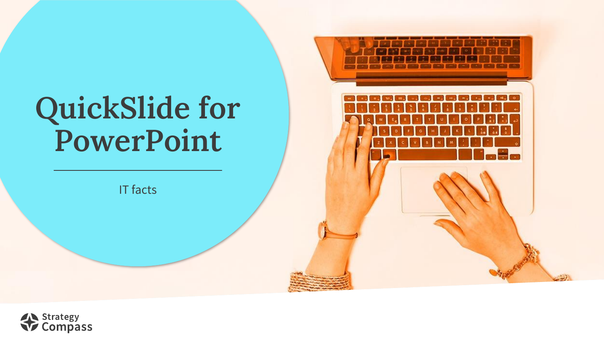# **QuickSlide for PowerPoint**

IT facts

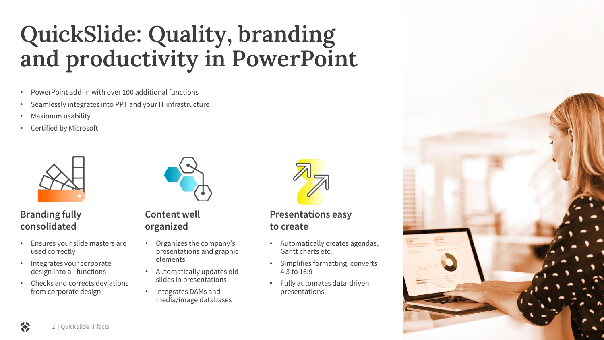### **QuickSlide: Quality, branding and productivity in PowerPoint**

- PowerPoint add-in with over 100 additional functions
- Seamlessly integrates into PPT and your IT infrastructure
- Maximum usability
- Certified by Microsoft



#### **Branding fully consolidated**

- Ensures your slide masters are used correctly
- Integrates your corporate design into all functions
- Checks and corrects deviations from corporate design



**Content well organized**

- Organizes the company's presentations and graphic elements
- Automatically updates old slides in presentations
- Integrates DAMs and media/image databases



**Presentations easy to create**

- Automatically creates agendas, Gantt charts etc.
- Simplifies formatting, converts 4:3 to 16:9
- Fully automates data-driven presentations

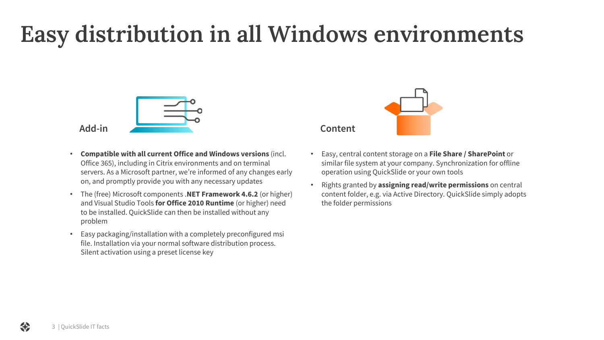### **Easy distribution in all Windows environments**



**Add-in**

- **Compatible with all current Office and Windows versions** (incl. Office 365), including in Citrix environments and on terminal servers. As a Microsoft partner, we're informed of any changes early on, and promptly provide you with any necessary updates
- The (free) Microsoft components .**NET Framework 4.6.2** (or higher) and Visual Studio Tools **for Office 2010 Runtime** (or higher) need to be installed. QuickSlide can then be installed without any problem
- Easy packaging/installation with a completely preconfigured msi file. Installation via your normal software distribution process. Silent activation using a preset license key



**Content**

- Easy, central content storage on a **File Share / SharePoint** or similar file system at your company. Synchronization for offline operation using QuickSlide or your own tools
- Rights granted by **assigning read/write permissions** on central content folder, e.g. via Active Directory. QuickSlide simply adopts the folder permissions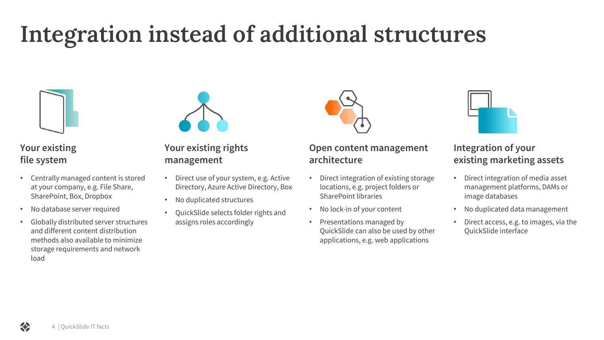### **Integration instead of additional structures**



#### **Your existing file system**

- Centrally managed content is stored at your company, e.g. File Share, SharePoint, Box, Dropbox
- No database server required
- Globally distributed server structures and different content distribution methods also available to minimize storage requirements and network load



#### **Your existing rights management**

- Direct use of your system, e.g. Active Directory, Azure Active Directory, Box
- No duplicated structures
- QuickSlide selects folder rights and assigns roles accordingly



#### **Open content management architecture**

- Direct integration of existing storage locations, e.g. project folders or SharePoint libraries
- No lock-in of your content
- Presentations managed by QuickSlide can also be used by other applications, e.g. web applications



#### **Integration of your existing marketing assets**

- Direct integration of media asset management platforms, DAMs or image databases
- No duplicated data management
- Direct access, e.g. to images, via the QuickSlide interface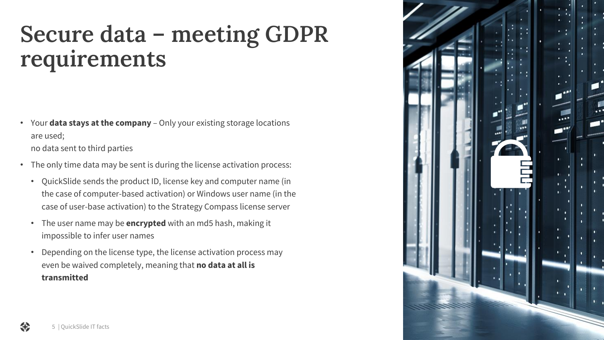### **Secure data – meeting GDPR requirements**

- Your **data stays at the company**  Only your existing storage locations are used; no data sent to third parties
- The only time data may be sent is during the license activation process:
	- QuickSlide sends the product ID, license key and computer name (in the case of computer-based activation) or Windows user name (in the case of user-base activation) to the Strategy Compass license server
	- The user name may be **encrypted** with an md5 hash, making it impossible to infer user names
	- Depending on the license type, the license activation process may even be waived completely, meaning that **no data at all is transmitted**

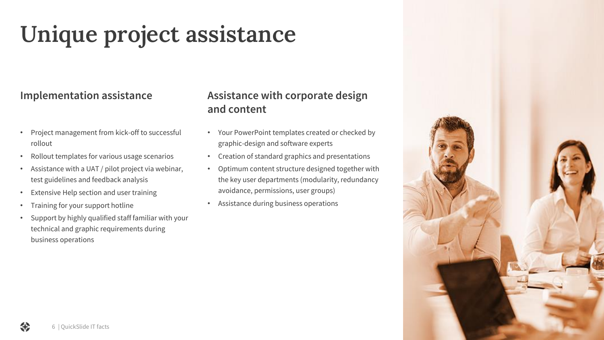## **Unique project assistance**

#### **Implementation assistance**

- Project management from kick-off to successful rollout
- Rollout templates for various usage scenarios
- Assistance with a UAT / pilot project via webinar, test guidelines and feedback analysis
- Extensive Help section and user training
- Training for your support hotline
- Support by highly qualified staff familiar with your technical and graphic requirements during business operations

### **Assistance with corporate design and content**

- Your PowerPoint templates created or checked by graphic-design and software experts
- Creation of standard graphics and presentations
- Optimum content structure designed together with the key user departments (modularity, redundancy avoidance, permissions, user groups)
- Assistance during business operations

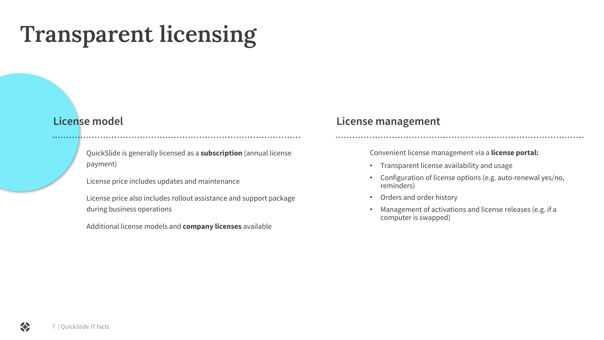### **Transparent licensing**

- QuickSlide is generally licensed as a **subscription** (annual license payment)
- License price includes updates and maintenance
- License price also includes rollout assistance and support package during business operations
- Additional license models and **company licenses** available

#### **License model License management**

Convenient license management via a **license portal:**

- Transparent license availability and usage
- Configuration of license options (e.g. auto-renewal yes/no, reminders)
- Orders and order history
- Management of activations and license releases (e.g. if a computer is swapped)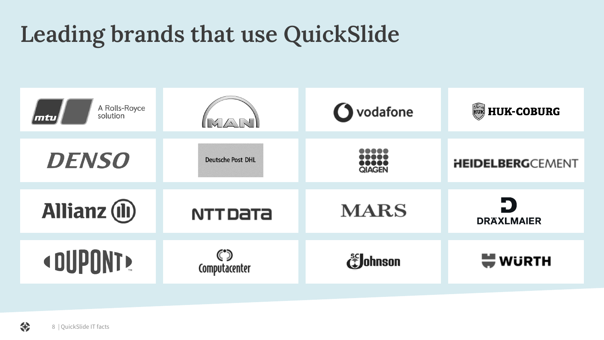### **Leading brands that use QuickSlide**

| A Rolls-Royce<br>solution<br>mtu) | MATAN                    | <b>O</b> vodafone | <b>HUK-COBURG</b>        |
|-----------------------------------|--------------------------|-------------------|--------------------------|
| <b>DENSO</b>                      | <b>Deutsche Post DHL</b> | <br><b>QIAGEN</b> | <b>HEIDELBERG</b> CEMENT |
| <b>Allianz</b> (ii)               | <b>NTTDaTa</b>           | <b>MARS</b>       | Ð<br><b>DRAXLMAIER</b>   |
| <dupont></dupont>                 | Computacenter            | <b>E</b> Johnson  | <b>WURTH</b>             |